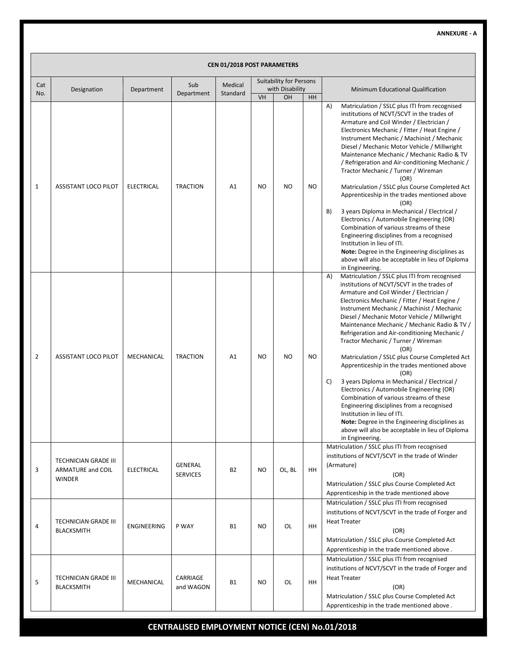|              | <b>CEN 01/2018 POST PARAMETERS</b>                                |                   |                                   |           |           |                                                   |           |                                                                                                                                                                                                                                                                                                                                                                                                                                                                                                                                                                                                                                                                                                                                                                                                                                                                                                                              |  |  |  |  |
|--------------|-------------------------------------------------------------------|-------------------|-----------------------------------|-----------|-----------|---------------------------------------------------|-----------|------------------------------------------------------------------------------------------------------------------------------------------------------------------------------------------------------------------------------------------------------------------------------------------------------------------------------------------------------------------------------------------------------------------------------------------------------------------------------------------------------------------------------------------------------------------------------------------------------------------------------------------------------------------------------------------------------------------------------------------------------------------------------------------------------------------------------------------------------------------------------------------------------------------------------|--|--|--|--|
| Cat          | Designation                                                       | Department        | Sub                               | Medical   |           | <b>Suitability for Persons</b><br>with Disability |           | Minimum Educational Qualification                                                                                                                                                                                                                                                                                                                                                                                                                                                                                                                                                                                                                                                                                                                                                                                                                                                                                            |  |  |  |  |
| No.          |                                                                   |                   | Department                        | Standard  | VH        | OH                                                | HH        |                                                                                                                                                                                                                                                                                                                                                                                                                                                                                                                                                                                                                                                                                                                                                                                                                                                                                                                              |  |  |  |  |
| $\mathbf{1}$ | <b>ASSISTANT LOCO PILOT</b>                                       | <b>ELECTRICAL</b> | <b>TRACTION</b>                   | A1        | <b>NO</b> | <b>NO</b>                                         | <b>NO</b> | A)<br>Matriculation / SSLC plus ITI from recognised<br>institutions of NCVT/SCVT in the trades of<br>Armature and Coil Winder / Electrician /<br>Electronics Mechanic / Fitter / Heat Engine /<br>Instrument Mechanic / Machinist / Mechanic<br>Diesel / Mechanic Motor Vehicle / Millwright<br>Maintenance Mechanic / Mechanic Radio & TV<br>/ Refrigeration and Air-conditioning Mechanic /<br>Tractor Mechanic / Turner / Wireman<br>(OR)<br>Matriculation / SSLC plus Course Completed Act<br>Apprenticeship in the trades mentioned above<br>(OR)<br>3 years Diploma in Mechanical / Electrical /<br>B)<br>Electronics / Automobile Engineering (OR)<br>Combination of various streams of these<br>Engineering disciplines from a recognised<br>Institution in lieu of ITI.<br>Note: Degree in the Engineering disciplines as<br>above will also be acceptable in lieu of Diploma                                       |  |  |  |  |
| 2            | <b>ASSISTANT LOCO PILOT</b>                                       | MECHANICAL        | <b>TRACTION</b>                   | A1        | NO        | N <sub>O</sub>                                    | <b>NO</b> | in Engineering.<br>Matriculation / SSLC plus ITI from recognised<br>A)<br>institutions of NCVT/SCVT in the trades of<br>Armature and Coil Winder / Electrician /<br>Electronics Mechanic / Fitter / Heat Engine /<br>Instrument Mechanic / Machinist / Mechanic<br>Diesel / Mechanic Motor Vehicle / Millwright<br>Maintenance Mechanic / Mechanic Radio & TV /<br>Refrigeration and Air-conditioning Mechanic /<br>Tractor Mechanic / Turner / Wireman<br>(OR)<br>Matriculation / SSLC plus Course Completed Act<br>Apprenticeship in the trades mentioned above<br>(OR)<br>3 years Diploma in Mechanical / Electrical /<br>C)<br>Electronics / Automobile Engineering (OR)<br>Combination of various streams of these<br>Engineering disciplines from a recognised<br>Institution in lieu of ITI.<br>Note: Degree in the Engineering disciplines as<br>above will also be acceptable in lieu of Diploma<br>in Engineering. |  |  |  |  |
| 3            | <b>TECHNICIAN GRADE III</b><br><b>ARMATURE and COIL</b><br>WINDER | <b>ELECTRICAL</b> | <b>GENERAL</b><br><b>SERVICES</b> | <b>B2</b> | <b>NO</b> | OL, BL                                            | <b>HH</b> | Matriculation / SSLC plus ITI from recognised<br>institutions of NCVT/SCVT in the trade of Winder<br>(Armature)<br>(OR)<br>Matriculation / SSLC plus Course Completed Act<br>Apprenticeship in the trade mentioned above                                                                                                                                                                                                                                                                                                                                                                                                                                                                                                                                                                                                                                                                                                     |  |  |  |  |
| 4            | <b>TECHNICIAN GRADE III</b><br><b>BLACKSMITH</b>                  | ENGINEERING       | P WAY                             | <b>B1</b> | <b>NO</b> | OL                                                | HH        | Matriculation / SSLC plus ITI from recognised<br>institutions of NCVT/SCVT in the trade of Forger and<br><b>Heat Treater</b><br>(OR)<br>Matriculation / SSLC plus Course Completed Act<br>Apprenticeship in the trade mentioned above.                                                                                                                                                                                                                                                                                                                                                                                                                                                                                                                                                                                                                                                                                       |  |  |  |  |
| 5            | <b>TECHNICIAN GRADE III</b><br><b>BLACKSMITH</b>                  | MECHANICAL        | CARRIAGE<br>and WAGON             | <b>B1</b> | NO        | OL                                                | HH        | Matriculation / SSLC plus ITI from recognised<br>institutions of NCVT/SCVT in the trade of Forger and<br><b>Heat Treater</b><br>(OR)<br>Matriculation / SSLC plus Course Completed Act<br>Apprenticeship in the trade mentioned above.                                                                                                                                                                                                                                                                                                                                                                                                                                                                                                                                                                                                                                                                                       |  |  |  |  |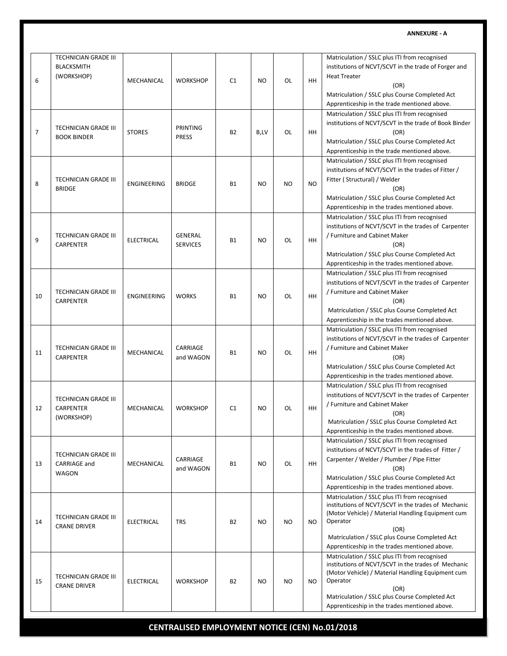| 6              | <b>TECHNICIAN GRADE III</b><br><b>BLACKSMITH</b><br>(WORKSHOP) | MECHANICAL         | <b>WORKSHOP</b>                 | C <sub>1</sub> | NO.            | OL        | HH        | Matriculation / SSLC plus ITI from recognised<br>institutions of NCVT/SCVT in the trade of Forger and<br><b>Heat Treater</b><br>(OR)<br>Matriculation / SSLC plus Course Completed Act<br>Apprenticeship in the trade mentioned above.                                           |
|----------------|----------------------------------------------------------------|--------------------|---------------------------------|----------------|----------------|-----------|-----------|----------------------------------------------------------------------------------------------------------------------------------------------------------------------------------------------------------------------------------------------------------------------------------|
| $\overline{7}$ | <b>TECHNICIAN GRADE III</b><br><b>BOOK BINDER</b>              | <b>STORES</b>      | <b>PRINTING</b><br><b>PRESS</b> | <b>B2</b>      | B,LV           | OL        | HH        | Matriculation / SSLC plus ITI from recognised<br>institutions of NCVT/SCVT in the trade of Book Binder<br>(OR)<br>Matriculation / SSLC plus Course Completed Act<br>Apprenticeship in the trade mentioned above.                                                                 |
| 8              | TECHNICIAN GRADE III<br><b>BRIDGE</b>                          | ENGINEERING        | <b>BRIDGE</b>                   | <b>B1</b>      | N <sub>O</sub> | <b>NO</b> | <b>NO</b> | Matriculation / SSLC plus ITI from recognised<br>institutions of NCVT/SCVT in the trades of Fitter /<br>Fitter (Structural) / Welder<br>(OR)<br>Matriculation / SSLC plus Course Completed Act<br>Apprenticeship in the trades mentioned above.                                  |
| 9              | <b>TECHNICIAN GRADE III</b><br>CARPENTER                       | <b>ELECTRICAL</b>  | GENERAL<br><b>SERVICES</b>      | <b>B1</b>      | <b>NO</b>      | OL        | HH        | Matriculation / SSLC plus ITI from recognised<br>institutions of NCVT/SCVT in the trades of Carpenter<br>/ Furniture and Cabinet Maker<br>(OR)<br>Matriculation / SSLC plus Course Completed Act<br>Apprenticeship in the trades mentioned above.                                |
| 10             | <b>TECHNICIAN GRADE III</b><br>CARPENTER                       | <b>ENGINEERING</b> | <b>WORKS</b>                    | <b>B1</b>      | NO.            | OL        | HH        | Matriculation / SSLC plus ITI from recognised<br>institutions of NCVT/SCVT in the trades of Carpenter<br>/ Furniture and Cabinet Maker<br>(OR)<br>Matriculation / SSLC plus Course Completed Act<br>Apprenticeship in the trades mentioned above.                                |
| 11             | TECHNICIAN GRADE III<br>CARPENTER                              | MECHANICAL         | CARRIAGE<br>and WAGON           | <b>B1</b>      | NO.            | OL        | HH        | Matriculation / SSLC plus ITI from recognised<br>institutions of NCVT/SCVT in the trades of Carpenter<br>/ Furniture and Cabinet Maker<br>(OR)<br>Matriculation / SSLC plus Course Completed Act<br>Apprenticeship in the trades mentioned above.                                |
| 12             | <b>TECHNICIAN GRADE III</b><br><b>CARPENTER</b><br>(WORKSHOP)  | MECHANICAL         | <b>WORKSHOP</b>                 | C <sub>1</sub> | NO.            | OL        | HH        | Matriculation / SSLC plus ITI from recognised<br>institutions of NCVT/SCVT in the trades of Carpenter<br>/ Furniture and Cabinet Maker<br>(OR)<br>Matriculation / SSLC plus Course Completed Act<br>Apprenticeship in the trades mentioned above.                                |
| 13             | TECHNICIAN GRADE III<br><b>CARRIAGE and</b><br>WAGON           | MECHANICAL         | CARRIAGE<br>and WAGON           | <b>B1</b>      | NO.            | OL        | HH        | Matriculation / SSLC plus ITI from recognised<br>institutions of NCVT/SCVT in the trades of Fitter /<br>Carpenter / Welder / Plumber / Pipe Fitter<br>(OR)<br>Matriculation / SSLC plus Course Completed Act<br>Apprenticeship in the trades mentioned above.                    |
| 14             | TECHNICIAN GRADE III<br><b>CRANE DRIVER</b>                    | ELECTRICAL         | <b>TRS</b>                      | <b>B2</b>      | NO.            | <b>NO</b> | NO        | Matriculation / SSLC plus ITI from recognised<br>institutions of NCVT/SCVT in the trades of Mechanic<br>(Motor Vehicle) / Material Handling Equipment cum<br>Operator<br>(OR)<br>Matriculation / SSLC plus Course Completed Act<br>Apprenticeship in the trades mentioned above. |
| 15             | TECHNICIAN GRADE III<br><b>CRANE DRIVER</b>                    | <b>ELECTRICAL</b>  | <b>WORKSHOP</b>                 | <b>B2</b>      | NO.            | NO.       | NO.       | Matriculation / SSLC plus ITI from recognised<br>institutions of NCVT/SCVT in the trades of Mechanic<br>(Motor Vehicle) / Material Handling Equipment cum<br>Operator<br>(OR)<br>Matriculation / SSLC plus Course Completed Act<br>Apprenticeship in the trades mentioned above. |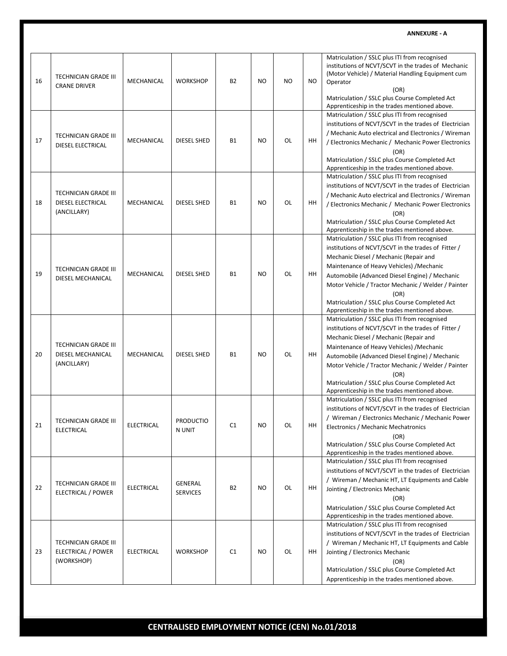| 16 | <b>TECHNICIAN GRADE III</b><br><b>CRANE DRIVER</b>              | MECHANICAL        | <b>WORKSHOP</b>            | <b>B2</b> | <b>NO</b>      | NO. | NO. | Matriculation / SSLC plus ITI from recognised<br>institutions of NCVT/SCVT in the trades of Mechanic<br>(Motor Vehicle) / Material Handling Equipment cum<br>Operator<br>(OR)<br>Matriculation / SSLC plus Course Completed Act<br>Apprenticeship in the trades mentioned above.                                                                                                                                |
|----|-----------------------------------------------------------------|-------------------|----------------------------|-----------|----------------|-----|-----|-----------------------------------------------------------------------------------------------------------------------------------------------------------------------------------------------------------------------------------------------------------------------------------------------------------------------------------------------------------------------------------------------------------------|
| 17 | <b>TECHNICIAN GRADE III</b><br>DIESEL ELECTRICAL                | MECHANICAL        | DIESEL SHED                | <b>B1</b> | <b>NO</b>      | OL  | HH  | Matriculation / SSLC plus ITI from recognised<br>institutions of NCVT/SCVT in the trades of Electrician<br>/ Mechanic Auto electrical and Electronics / Wireman<br>/ Electronics Mechanic / Mechanic Power Electronics<br>(OR)<br>Matriculation / SSLC plus Course Completed Act<br>Apprenticeship in the trades mentioned above.                                                                               |
| 18 | <b>TECHNICIAN GRADE III</b><br>DIESEL ELECTRICAL<br>(ANCILLARY) | MECHANICAL        | <b>DIESEL SHED</b>         | <b>B1</b> | <b>NO</b>      | OL  | HH  | Matriculation / SSLC plus ITI from recognised<br>institutions of NCVT/SCVT in the trades of Electrician<br>/ Mechanic Auto electrical and Electronics / Wireman<br>/ Electronics Mechanic / Mechanic Power Electronics<br>(OR)<br>Matriculation / SSLC plus Course Completed Act<br>Apprenticeship in the trades mentioned above.                                                                               |
| 19 | <b>TECHNICIAN GRADE III</b><br>DIESEL MECHANICAL                | MECHANICAL        | DIESEL SHED                | <b>B1</b> | <b>NO</b>      | OL  | HH  | Matriculation / SSLC plus ITI from recognised<br>institutions of NCVT/SCVT in the trades of Fitter /<br>Mechanic Diesel / Mechanic (Repair and<br>Maintenance of Heavy Vehicles) / Mechanic<br>Automobile (Advanced Diesel Engine) / Mechanic<br>Motor Vehicle / Tractor Mechanic / Welder / Painter<br>(OR)<br>Matriculation / SSLC plus Course Completed Act<br>Apprenticeship in the trades mentioned above. |
| 20 | <b>TECHNICIAN GRADE III</b><br>DIESEL MECHANICAL<br>(ANCILLARY) | MECHANICAL        | DIESEL SHED                | B1        | <b>NO</b>      | OL  | HH  | Matriculation / SSLC plus ITI from recognised<br>institutions of NCVT/SCVT in the trades of Fitter /<br>Mechanic Diesel / Mechanic (Repair and<br>Maintenance of Heavy Vehicles) / Mechanic<br>Automobile (Advanced Diesel Engine) / Mechanic<br>Motor Vehicle / Tractor Mechanic / Welder / Painter<br>(OR)<br>Matriculation / SSLC plus Course Completed Act<br>Apprenticeship in the trades mentioned above. |
| 21 | TECHNICIAN GRADE III<br><b>ELECTRICAL</b>                       | <b>ELECTRICAL</b> | PRODUCTIO<br>N UNIT        | C1        | NO             | OL  | HH  | Matriculation / SSLC plus ITI from recognised<br>institutions of NCVT/SCVT in the trades of Electrician<br>/ Wireman / Electronics Mechanic / Mechanic Power<br>Electronics / Mechanic Mechatronics<br>(OR)<br>Matriculation / SSLC plus Course Completed Act<br>Apprenticeship in the trades mentioned above.                                                                                                  |
| 22 | TECHNICIAN GRADE III<br>ELECTRICAL / POWER                      | <b>ELECTRICAL</b> | GENERAL<br><b>SERVICES</b> | <b>B2</b> | NO.            | OL  | HH  | Matriculation / SSLC plus ITI from recognised<br>institutions of NCVT/SCVT in the trades of Electrician<br>/ Wireman / Mechanic HT, LT Equipments and Cable<br>Jointing / Electronics Mechanic<br>(OR)<br>Matriculation / SSLC plus Course Completed Act<br>Apprenticeship in the trades mentioned above.                                                                                                       |
| 23 | <b>TECHNICIAN GRADE III</b><br>ELECTRICAL / POWER<br>(WORKSHOP) | ELECTRICAL        | <b>WORKSHOP</b>            | C1        | N <sub>O</sub> | OL  | HH  | Matriculation / SSLC plus ITI from recognised<br>institutions of NCVT/SCVT in the trades of Electrician<br>/ Wireman / Mechanic HT, LT Equipments and Cable<br>Jointing / Electronics Mechanic<br>(OR)<br>Matriculation / SSLC plus Course Completed Act<br>Apprenticeship in the trades mentioned above.                                                                                                       |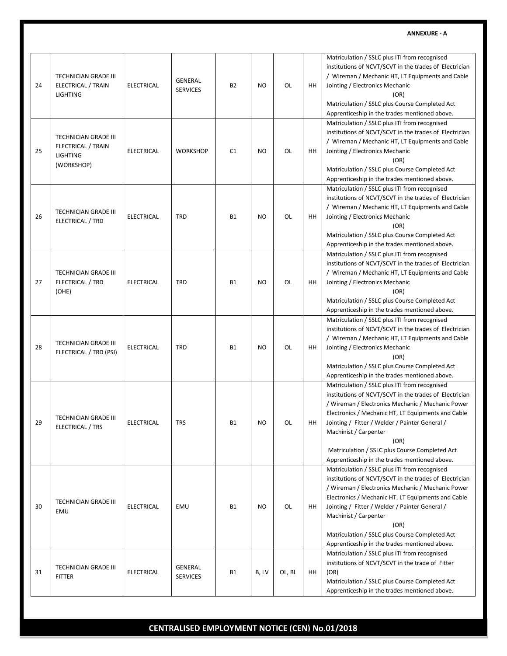| 24 | <b>TECHNICIAN GRADE III</b><br>ELECTRICAL / TRAIN<br><b>LIGHTING</b>               | <b>ELECTRICAL</b> | GENERAL<br><b>SERVICES</b> | B2        | N <sub>O</sub> | OL     | HH | Matriculation / SSLC plus ITI from recognised<br>institutions of NCVT/SCVT in the trades of Electrician<br>/ Wireman / Mechanic HT, LT Equipments and Cable<br>Jointing / Electronics Mechanic<br>(OR)<br>Matriculation / SSLC plus Course Completed Act<br>Apprenticeship in the trades mentioned above.                                                                                                |
|----|------------------------------------------------------------------------------------|-------------------|----------------------------|-----------|----------------|--------|----|----------------------------------------------------------------------------------------------------------------------------------------------------------------------------------------------------------------------------------------------------------------------------------------------------------------------------------------------------------------------------------------------------------|
| 25 | <b>TECHNICIAN GRADE III</b><br>ELECTRICAL / TRAIN<br><b>LIGHTING</b><br>(WORKSHOP) | <b>ELECTRICAL</b> | <b>WORKSHOP</b>            | C1        | <b>NO</b>      | OL     | HН | Matriculation / SSLC plus ITI from recognised<br>institutions of NCVT/SCVT in the trades of Electrician<br>/ Wireman / Mechanic HT, LT Equipments and Cable<br>Jointing / Electronics Mechanic<br>(OR)<br>Matriculation / SSLC plus Course Completed Act<br>Apprenticeship in the trades mentioned above.                                                                                                |
| 26 | <b>TECHNICIAN GRADE III</b><br>ELECTRICAL / TRD                                    | <b>ELECTRICAL</b> | <b>TRD</b>                 | <b>B1</b> | <b>NO</b>      | OL     | HH | Matriculation / SSLC plus ITI from recognised<br>institutions of NCVT/SCVT in the trades of Electrician<br>/ Wireman / Mechanic HT, LT Equipments and Cable<br>Jointing / Electronics Mechanic<br>(OR)<br>Matriculation / SSLC plus Course Completed Act<br>Apprenticeship in the trades mentioned above.                                                                                                |
| 27 | TECHNICIAN GRADE III<br>ELECTRICAL / TRD<br>(OHE)                                  | <b>ELECTRICAL</b> | <b>TRD</b>                 | <b>B1</b> | <b>NO</b>      | OL     | HН | Matriculation / SSLC plus ITI from recognised<br>institutions of NCVT/SCVT in the trades of Electrician<br>/ Wireman / Mechanic HT, LT Equipments and Cable<br>Jointing / Electronics Mechanic<br>(OR)<br>Matriculation / SSLC plus Course Completed Act<br>Apprenticeship in the trades mentioned above.                                                                                                |
| 28 | TECHNICIAN GRADE III<br>ELECTRICAL / TRD (PSI)                                     | <b>ELECTRICAL</b> | <b>TRD</b>                 | <b>B1</b> | <b>NO</b>      | OL     | HH | Matriculation / SSLC plus ITI from recognised<br>institutions of NCVT/SCVT in the trades of Electrician<br>/ Wireman / Mechanic HT, LT Equipments and Cable<br>Jointing / Electronics Mechanic<br>(OR)<br>Matriculation / SSLC plus Course Completed Act<br>Apprenticeship in the trades mentioned above.                                                                                                |
| 29 | TECHNICIAN GRADE III<br>ELECTRICAL / TRS                                           | <b>ELECTRICAL</b> | <b>TRS</b>                 | Β1        | NO.            | ΩI     | HH | Matriculation / SSLC plus ITI from recognised<br>institutions of NCVT/SCVT in the trades of Electrician<br>/ Wireman / Electronics Mechanic / Mechanic Power<br>Electronics / Mechanic HT, LT Equipments and Cable<br>Jointing / Fitter / Welder / Painter General /<br>Machinist / Carpenter<br>(OR)<br>Matriculation / SSLC plus Course Completed Act<br>Apprenticeship in the trades mentioned above. |
| 30 | <b>TECHNICIAN GRADE III</b><br>EMU                                                 | <b>ELECTRICAL</b> | EMU                        | <b>B1</b> | N <sub>O</sub> | OL     | HH | Matriculation / SSLC plus ITI from recognised<br>institutions of NCVT/SCVT in the trades of Electrician<br>/ Wireman / Electronics Mechanic / Mechanic Power<br>Electronics / Mechanic HT, LT Equipments and Cable<br>Jointing / Fitter / Welder / Painter General /<br>Machinist / Carpenter<br>(OR)<br>Matriculation / SSLC plus Course Completed Act<br>Apprenticeship in the trades mentioned above. |
| 31 | TECHNICIAN GRADE III<br><b>FITTER</b>                                              | <b>ELECTRICAL</b> | GENERAL<br><b>SERVICES</b> | <b>B1</b> | B, LV          | OL, BL | HH | Matriculation / SSLC plus ITI from recognised<br>institutions of NCVT/SCVT in the trade of Fitter<br>(OR)<br>Matriculation / SSLC plus Course Completed Act<br>Apprenticeship in the trades mentioned above.                                                                                                                                                                                             |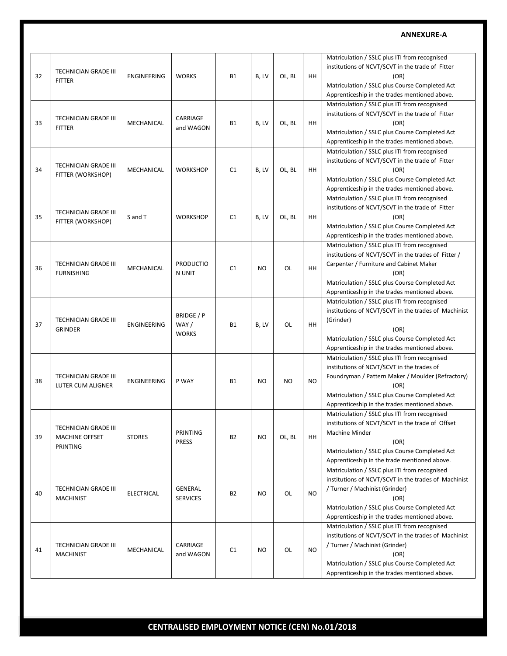| 32 | TECHNICIAN GRADE III<br><b>FITTER</b>                     | ENGINEERING        | <b>WORKS</b>                       | <b>B1</b> | B, LV     | OL, BL | HH        | Matriculation / SSLC plus ITI from recognised<br>institutions of NCVT/SCVT in the trade of Fitter<br>(OR)<br>Matriculation / SSLC plus Course Completed Act<br>Apprenticeship in the trades mentioned above.                                                |
|----|-----------------------------------------------------------|--------------------|------------------------------------|-----------|-----------|--------|-----------|-------------------------------------------------------------------------------------------------------------------------------------------------------------------------------------------------------------------------------------------------------------|
| 33 | TECHNICIAN GRADE III<br><b>FITTER</b>                     | MECHANICAL         | CARRIAGE<br>and WAGON              | <b>B1</b> | B, LV     | OL, BL | HH        | Matriculation / SSLC plus ITI from recognised<br>institutions of NCVT/SCVT in the trade of Fitter<br>(OR)<br>Matriculation / SSLC plus Course Completed Act<br>Apprenticeship in the trades mentioned above.                                                |
| 34 | TECHNICIAN GRADE III<br>FITTER (WORKSHOP)                 | MECHANICAL         | <b>WORKSHOP</b>                    | C1        | B, LV     | OL, BL | HH        | Matriculation / SSLC plus ITI from recognised<br>institutions of NCVT/SCVT in the trade of Fitter<br>(OR)<br>Matriculation / SSLC plus Course Completed Act<br>Apprenticeship in the trades mentioned above.                                                |
| 35 | TECHNICIAN GRADE III<br>FITTER (WORKSHOP)                 | S and T            | <b>WORKSHOP</b>                    | C1        | B, LV     | OL, BL | HH        | Matriculation / SSLC plus ITI from recognised<br>institutions of NCVT/SCVT in the trade of Fitter<br>(OR)<br>Matriculation / SSLC plus Course Completed Act<br>Apprenticeship in the trades mentioned above.                                                |
| 36 | TECHNICIAN GRADE III<br><b>FURNISHING</b>                 | MECHANICAL         | <b>PRODUCTIO</b><br>N UNIT         | C1        | <b>NO</b> | OL     | <b>HH</b> | Matriculation / SSLC plus ITI from recognised<br>institutions of NCVT/SCVT in the trades of Fitter /<br>Carpenter / Furniture and Cabinet Maker<br>(OR)<br>Matriculation / SSLC plus Course Completed Act<br>Apprenticeship in the trades mentioned above.  |
| 37 | TECHNICIAN GRADE III<br><b>GRINDER</b>                    | <b>ENGINEERING</b> | BRIDGE / P<br>WAY/<br><b>WORKS</b> | <b>B1</b> | B, LV     | OL     | HH        | Matriculation / SSLC plus ITI from recognised<br>institutions of NCVT/SCVT in the trades of Machinist<br>(Grinder)<br>(OR)<br>Matriculation / SSLC plus Course Completed Act<br>Apprenticeship in the trades mentioned above.                               |
| 38 | TECHNICIAN GRADE III<br><b>LUTER CUM ALIGNER</b>          | <b>ENGINEERING</b> | P WAY                              | <b>B1</b> | NO.       | NO.    | <b>NO</b> | Matriculation / SSLC plus ITI from recognised<br>institutions of NCVT/SCVT in the trades of<br>Foundryman / Pattern Maker / Moulder (Refractory)<br>(OR)<br>Matriculation / SSLC plus Course Completed Act<br>Apprenticeship in the trades mentioned above. |
| 39 | TECHNICIAN GRADE III<br><b>MACHINE OFFSET</b><br>PRINTING | <b>STORES</b>      | PRINTING<br><b>PRESS</b>           | <b>B2</b> | <b>NO</b> | OL, BL | HH        | Matriculation / SSLC plus ITI from recognised<br>institutions of NCVT/SCVT in the trade of Offset<br>Machine Minder<br>(OR)<br>Matriculation / SSLC plus Course Completed Act<br>Apprenticeship in the trade mentioned above.                               |
| 40 | TECHNICIAN GRADE III<br><b>MACHINIST</b>                  | <b>ELECTRICAL</b>  | GENERAL<br><b>SERVICES</b>         | <b>B2</b> | NO.       | OL     | <b>NO</b> | Matriculation / SSLC plus ITI from recognised<br>institutions of NCVT/SCVT in the trades of Machinist<br>/ Turner / Machinist (Grinder)<br>(OR)<br>Matriculation / SSLC plus Course Completed Act<br>Apprenticeship in the trades mentioned above.          |
| 41 | TECHNICIAN GRADE III<br>MACHINIST                         | MECHANICAL         | CARRIAGE<br>and WAGON              | C1        | NO.       | OL     | <b>NO</b> | Matriculation / SSLC plus ITI from recognised<br>institutions of NCVT/SCVT in the trades of Machinist<br>/ Turner / Machinist (Grinder)<br>(OR)<br>Matriculation / SSLC plus Course Completed Act<br>Apprenticeship in the trades mentioned above.          |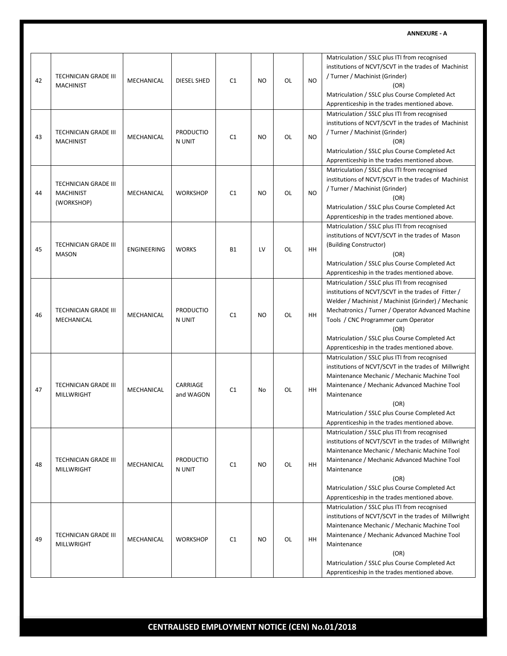| 42 | <b>TECHNICIAN GRADE III</b><br><b>MACHINIST</b>        | MECHANICAL         | DIESEL SHED                | C1        | NO.            | OL | N <sub>O</sub> | Matriculation / SSLC plus ITI from recognised<br>institutions of NCVT/SCVT in the trades of Machinist<br>/ Turner / Machinist (Grinder)<br>(OR)<br>Matriculation / SSLC plus Course Completed Act<br>Apprenticeship in the trades mentioned above.                                                                                                                                |
|----|--------------------------------------------------------|--------------------|----------------------------|-----------|----------------|----|----------------|-----------------------------------------------------------------------------------------------------------------------------------------------------------------------------------------------------------------------------------------------------------------------------------------------------------------------------------------------------------------------------------|
| 43 | TECHNICIAN GRADE III<br><b>MACHINIST</b>               | MECHANICAL         | <b>PRODUCTIO</b><br>N UNIT | C1        | <b>NO</b>      | OL | NO.            | Matriculation / SSLC plus ITI from recognised<br>institutions of NCVT/SCVT in the trades of Machinist<br>/ Turner / Machinist (Grinder)<br>(OR)<br>Matriculation / SSLC plus Course Completed Act<br>Apprenticeship in the trades mentioned above.                                                                                                                                |
| 44 | TECHNICIAN GRADE III<br><b>MACHINIST</b><br>(WORKSHOP) | MECHANICAL         | <b>WORKSHOP</b>            | C1        | N <sub>O</sub> | OL | <b>NO</b>      | Matriculation / SSLC plus ITI from recognised<br>institutions of NCVT/SCVT in the trades of Machinist<br>/ Turner / Machinist (Grinder)<br>(OR)<br>Matriculation / SSLC plus Course Completed Act<br>Apprenticeship in the trades mentioned above.                                                                                                                                |
| 45 | TECHNICIAN GRADE III<br><b>MASON</b>                   | <b>ENGINEERING</b> | <b>WORKS</b>               | <b>B1</b> | LV             | OL | HH             | Matriculation / SSLC plus ITI from recognised<br>institutions of NCVT/SCVT in the trades of Mason<br>(Building Constructor)<br>(OR)<br>Matriculation / SSLC plus Course Completed Act<br>Apprenticeship in the trades mentioned above.                                                                                                                                            |
| 46 | TECHNICIAN GRADE III<br>MECHANICAL                     | MECHANICAL         | <b>PRODUCTIO</b><br>N UNIT | C1        | N <sub>O</sub> | OL | HH             | Matriculation / SSLC plus ITI from recognised<br>institutions of NCVT/SCVT in the trades of Fitter /<br>Welder / Machinist / Machinist (Grinder) / Mechanic<br>Mechatronics / Turner / Operator Advanced Machine<br>Tools / CNC Programmer cum Operator<br>(OR)<br>Matriculation / SSLC plus Course Completed Act                                                                 |
| 47 | TECHNICIAN GRADE III<br><b>MILLWRIGHT</b>              | MECHANICAL         | CARRIAGE<br>and WAGON      | C1        | No             | OL | <b>HH</b>      | Apprenticeship in the trades mentioned above.<br>Matriculation / SSLC plus ITI from recognised<br>institutions of NCVT/SCVT in the trades of Millwright<br>Maintenance Mechanic / Mechanic Machine Tool<br>Maintenance / Mechanic Advanced Machine Tool<br>Maintenance<br>(OR)<br>Matriculation / SSLC plus Course Completed Act<br>Apprenticeship in the trades mentioned above. |
| 48 | TECHNICIAN GRADE III<br><b>MILLWRIGHT</b>              | MECHANICAL         | <b>PRODUCTIO</b><br>N UNIT | C1        | NO.            | OL | HH             | Matriculation / SSLC plus ITI from recognised<br>institutions of NCVT/SCVT in the trades of Millwright<br>Maintenance Mechanic / Mechanic Machine Tool<br>Maintenance / Mechanic Advanced Machine Tool<br>Maintenance<br>(OR)<br>Matriculation / SSLC plus Course Completed Act<br>Apprenticeship in the trades mentioned above.                                                  |
| 49 | TECHNICIAN GRADE III<br>MILLWRIGHT                     | MECHANICAL         | <b>WORKSHOP</b>            | C1        | <b>NO</b>      | OL | HH             | Matriculation / SSLC plus ITI from recognised<br>institutions of NCVT/SCVT in the trades of Millwright<br>Maintenance Mechanic / Mechanic Machine Tool<br>Maintenance / Mechanic Advanced Machine Tool<br>Maintenance<br>(OR)<br>Matriculation / SSLC plus Course Completed Act<br>Apprenticeship in the trades mentioned above.                                                  |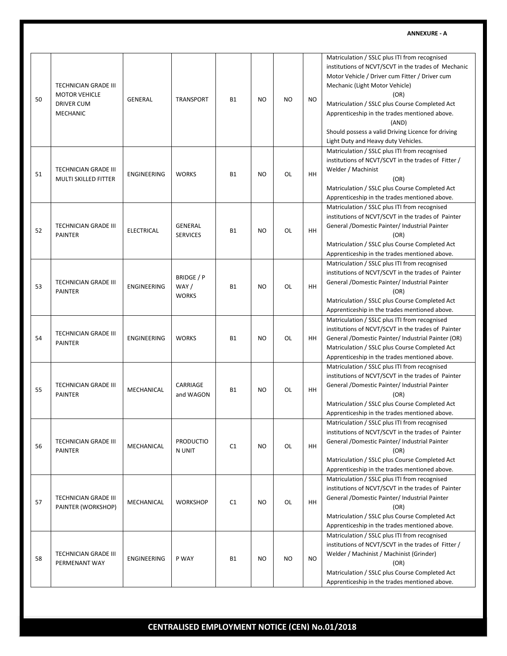| 50 | <b>TECHNICIAN GRADE III</b><br><b>MOTOR VEHICLE</b><br><b>DRIVER CUM</b><br><b>MECHANIC</b> | <b>GENERAL</b>     | TRANSPORT                          | <b>B1</b> | N <sub>O</sub> | NO        | <b>NO</b> | Matriculation / SSLC plus ITI from recognised<br>institutions of NCVT/SCVT in the trades of Mechanic<br>Motor Vehicle / Driver cum Fitter / Driver cum<br>Mechanic (Light Motor Vehicle)<br>(OR)<br>Matriculation / SSLC plus Course Completed Act<br>Apprenticeship in the trades mentioned above.<br>(AND)<br>Should possess a valid Driving Licence for driving<br>Light Duty and Heavy duty Vehicles. |
|----|---------------------------------------------------------------------------------------------|--------------------|------------------------------------|-----------|----------------|-----------|-----------|-----------------------------------------------------------------------------------------------------------------------------------------------------------------------------------------------------------------------------------------------------------------------------------------------------------------------------------------------------------------------------------------------------------|
| 51 | TECHNICIAN GRADE III<br>MULTI SKILLED FITTER                                                | <b>ENGINEERING</b> | <b>WORKS</b>                       | <b>B1</b> | <b>NO</b>      | OL        | HH.       | Matriculation / SSLC plus ITI from recognised<br>institutions of NCVT/SCVT in the trades of Fitter /<br>Welder / Machinist<br>(OR)<br>Matriculation / SSLC plus Course Completed Act<br>Apprenticeship in the trades mentioned above.                                                                                                                                                                     |
| 52 | <b>TECHNICIAN GRADE III</b><br><b>PAINTER</b>                                               | <b>ELECTRICAL</b>  | <b>GENERAL</b><br><b>SERVICES</b>  | <b>B1</b> | N <sub>O</sub> | OL        | <b>HH</b> | Matriculation / SSLC plus ITI from recognised<br>institutions of NCVT/SCVT in the trades of Painter<br>General /Domestic Painter/ Industrial Painter<br>(OR)<br>Matriculation / SSLC plus Course Completed Act<br>Apprenticeship in the trades mentioned above.                                                                                                                                           |
| 53 | TECHNICIAN GRADE III<br><b>PAINTER</b>                                                      | <b>ENGINEERING</b> | BRIDGE / P<br>WAY/<br><b>WORKS</b> | <b>B1</b> | N <sub>O</sub> | OL        | HH.       | Matriculation / SSLC plus ITI from recognised<br>institutions of NCVT/SCVT in the trades of Painter<br>General /Domestic Painter/ Industrial Painter<br>(OR)<br>Matriculation / SSLC plus Course Completed Act<br>Apprenticeship in the trades mentioned above.                                                                                                                                           |
| 54 | <b>TECHNICIAN GRADE III</b><br><b>PAINTER</b>                                               | <b>ENGINEERING</b> | <b>WORKS</b>                       | <b>B1</b> | <b>NO</b>      | OL        | HH        | Matriculation / SSLC plus ITI from recognised<br>institutions of NCVT/SCVT in the trades of Painter<br>General /Domestic Painter/ Industrial Painter (OR)<br>Matriculation / SSLC plus Course Completed Act<br>Apprenticeship in the trades mentioned above.                                                                                                                                              |
| 55 | TECHNICIAN GRADE III<br><b>PAINTER</b>                                                      | MECHANICAL         | CARRIAGE<br>and WAGON              | <b>B1</b> | N <sub>O</sub> | OL        | HH.       | Matriculation / SSLC plus ITI from recognised<br>institutions of NCVT/SCVT in the trades of Painter<br>General /Domestic Painter/ Industrial Painter<br>(OR)<br>Matriculation / SSLC plus Course Completed Act<br>Apprenticeship in the trades mentioned above.                                                                                                                                           |
| 56 | TECHNICIAN GRADE III<br><b>PAINTER</b>                                                      | MECHANICAL         | <b>PRODUCTIO</b><br>N UNIT         | C1        | <b>NO</b>      | OL        | HH        | Matriculation / SSLC plus ITI from recognised<br>institutions of NCVT/SCVT in the trades of Painter<br>General /Domestic Painter/ Industrial Painter<br>(OR)<br>Matriculation / SSLC plus Course Completed Act<br>Apprenticeship in the trades mentioned above.                                                                                                                                           |
| 57 | <b>TECHNICIAN GRADE III</b><br>PAINTER (WORKSHOP)                                           | MECHANICAL         | <b>WORKSHOP</b>                    | C1        | NO             | OL        | HH.       | Matriculation / SSLC plus ITI from recognised<br>institutions of NCVT/SCVT in the trades of Painter<br>General /Domestic Painter/ Industrial Painter<br>(OR)<br>Matriculation / SSLC plus Course Completed Act<br>Apprenticeship in the trades mentioned above.                                                                                                                                           |
| 58 | <b>TECHNICIAN GRADE III</b><br>PERMENANT WAY                                                | ENGINEERING        | P WAY                              | <b>B1</b> | <b>NO</b>      | <b>NO</b> | NO.       | Matriculation / SSLC plus ITI from recognised<br>institutions of NCVT/SCVT in the trades of Fitter /<br>Welder / Machinist / Machinist (Grinder)<br>(OR)<br>Matriculation / SSLC plus Course Completed Act<br>Apprenticeship in the trades mentioned above.                                                                                                                                               |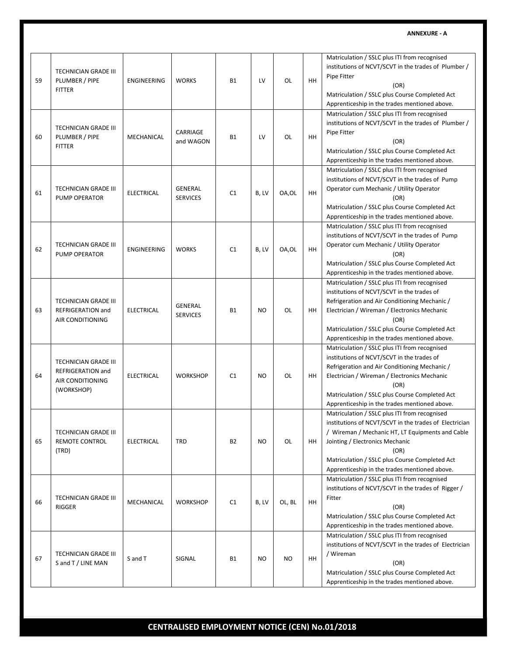| 59 | TECHNICIAN GRADE III<br>PLUMBER / PIPE<br><b>FITTER</b>                            | ENGINEERING       | <b>WORKS</b>                      | <b>B1</b> | LV        | OL     | HH  | Matriculation / SSLC plus ITI from recognised<br>institutions of NCVT/SCVT in the trades of Plumber /<br>Pipe Fitter<br>(OR)<br>Matriculation / SSLC plus Course Completed Act<br>Apprenticeship in the trades mentioned above.                                                                           |
|----|------------------------------------------------------------------------------------|-------------------|-----------------------------------|-----------|-----------|--------|-----|-----------------------------------------------------------------------------------------------------------------------------------------------------------------------------------------------------------------------------------------------------------------------------------------------------------|
| 60 | TECHNICIAN GRADE III<br>PLUMBER / PIPE<br><b>FITTER</b>                            | MECHANICAL        | CARRIAGE<br>and WAGON             | <b>B1</b> | LV        | OL     | HH. | Matriculation / SSLC plus ITI from recognised<br>institutions of NCVT/SCVT in the trades of Plumber /<br>Pipe Fitter<br>(OR)<br>Matriculation / SSLC plus Course Completed Act<br>Apprenticeship in the trades mentioned above.                                                                           |
| 61 | TECHNICIAN GRADE III<br>PUMP OPERATOR                                              | <b>ELECTRICAL</b> | <b>GENERAL</b><br><b>SERVICES</b> | C1        | B, LV     | OA,OL  | HH  | Matriculation / SSLC plus ITI from recognised<br>institutions of NCVT/SCVT in the trades of Pump<br>Operator cum Mechanic / Utility Operator<br>(OR)<br>Matriculation / SSLC plus Course Completed Act<br>Apprenticeship in the trades mentioned above.                                                   |
| 62 | TECHNICIAN GRADE III<br>PUMP OPERATOR                                              | ENGINEERING       | <b>WORKS</b>                      | C1        | B, LV     | OA,OL  | HH  | Matriculation / SSLC plus ITI from recognised<br>institutions of NCVT/SCVT in the trades of Pump<br>Operator cum Mechanic / Utility Operator<br>(OR)<br>Matriculation / SSLC plus Course Completed Act<br>Apprenticeship in the trades mentioned above.                                                   |
| 63 | TECHNICIAN GRADE III<br>REFRIGERATION and<br>AIR CONDITIONING                      | <b>ELECTRICAL</b> | <b>GENERAL</b><br><b>SERVICES</b> | <b>B1</b> | NO.       | OL     | HH  | Matriculation / SSLC plus ITI from recognised<br>institutions of NCVT/SCVT in the trades of<br>Refrigeration and Air Conditioning Mechanic /<br>Electrician / Wireman / Electronics Mechanic<br>(OR)<br>Matriculation / SSLC plus Course Completed Act<br>Apprenticeship in the trades mentioned above.   |
| 64 | TECHNICIAN GRADE III<br>REFRIGERATION and<br><b>AIR CONDITIONING</b><br>(WORKSHOP) | <b>ELECTRICAL</b> | <b>WORKSHOP</b>                   | C1        | NO.       | OL     | HН  | Matriculation / SSLC plus ITI from recognised<br>institutions of NCVT/SCVT in the trades of<br>Refrigeration and Air Conditioning Mechanic /<br>Electrician / Wireman / Electronics Mechanic<br>(OR)<br>Matriculation / SSLC plus Course Completed Act<br>Apprenticeship in the trades mentioned above.   |
| 65 | TECHNICIAN GRADE III<br><b>REMOTE CONTROL</b><br>(TRD)                             | ELECTRICAL        | <b>TRD</b>                        | <b>B2</b> | NO.       | OL     | HH  | Matriculation / SSLC plus ITI from recognised<br>institutions of NCVT/SCVT in the trades of Electrician<br>/ Wireman / Mechanic HT, LT Equipments and Cable<br>Jointing / Electronics Mechanic<br>(OR)<br>Matriculation / SSLC plus Course Completed Act<br>Apprenticeship in the trades mentioned above. |
| 66 | TECHNICIAN GRADE III<br><b>RIGGER</b>                                              | MECHANICAL        | <b>WORKSHOP</b>                   | C1        | B, LV     | OL, BL | HH  | Matriculation / SSLC plus ITI from recognised<br>institutions of NCVT/SCVT in the trades of Rigger /<br>Fitter<br>(OR)<br>Matriculation / SSLC plus Course Completed Act<br>Apprenticeship in the trades mentioned above.                                                                                 |
| 67 | TECHNICIAN GRADE III<br>S and T / LINE MAN                                         | S and T           | SIGNAL                            | <b>B1</b> | <b>NO</b> | NO.    | HH  | Matriculation / SSLC plus ITI from recognised<br>institutions of NCVT/SCVT in the trades of Electrician<br>/ Wireman<br>(OR)<br>Matriculation / SSLC plus Course Completed Act<br>Apprenticeship in the trades mentioned above.                                                                           |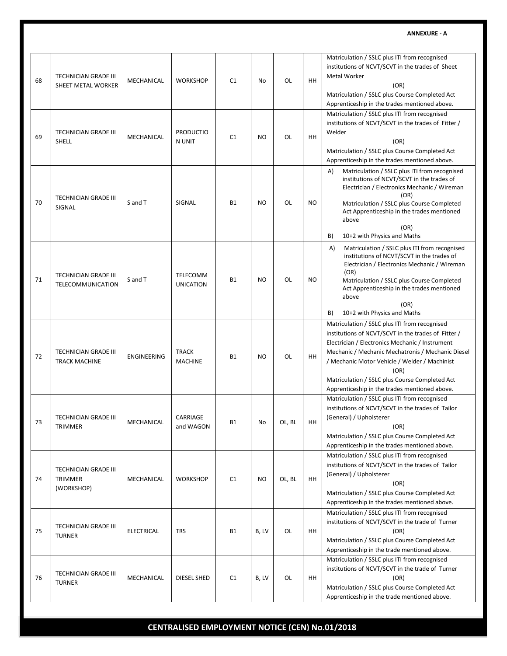| 68 | <b>TECHNICIAN GRADE III</b><br>SHEET METAL WORKER           | MECHANICAL         | <b>WORKSHOP</b>                | C1             | No             | OL     | HH        | Matriculation / SSLC plus ITI from recognised<br>institutions of NCVT/SCVT in the trades of Sheet<br><b>Metal Worker</b><br>(OR)<br>Matriculation / SSLC plus Course Completed Act<br>Apprenticeship in the trades mentioned above.                                                                                                                                      |
|----|-------------------------------------------------------------|--------------------|--------------------------------|----------------|----------------|--------|-----------|--------------------------------------------------------------------------------------------------------------------------------------------------------------------------------------------------------------------------------------------------------------------------------------------------------------------------------------------------------------------------|
| 69 | <b>TECHNICIAN GRADE III</b><br>SHELL                        | MECHANICAL         | <b>PRODUCTIO</b><br>N UNIT     | C1             | N <sub>O</sub> | OL     | HH.       | Matriculation / SSLC plus ITI from recognised<br>institutions of NCVT/SCVT in the trades of Fitter /<br>Welder<br>(OR)<br>Matriculation / SSLC plus Course Completed Act<br>Apprenticeship in the trades mentioned above.                                                                                                                                                |
| 70 | <b>TECHNICIAN GRADE III</b><br>SIGNAL                       | S and T            | SIGNAL                         | <b>B1</b>      | N <sub>O</sub> | OL     | <b>NO</b> | Matriculation / SSLC plus ITI from recognised<br>A)<br>institutions of NCVT/SCVT in the trades of<br>Electrician / Electronics Mechanic / Wireman<br>(OR)<br>Matriculation / SSLC plus Course Completed<br>Act Apprenticeship in the trades mentioned<br>above<br>(OR)<br>10+2 with Physics and Maths<br>B)                                                              |
| 71 | <b>TECHNICIAN GRADE III</b><br>TELECOMMUNICATION            | S and T            | TELECOMM<br><b>UNICATION</b>   | <b>B1</b>      | N <sub>O</sub> | OL     | NO.       | Matriculation / SSLC plus ITI from recognised<br>A)<br>institutions of NCVT/SCVT in the trades of<br>Electrician / Electronics Mechanic / Wireman<br>(OR)<br>Matriculation / SSLC plus Course Completed<br>Act Apprenticeship in the trades mentioned<br>above<br>(OR)<br>B)<br>10+2 with Physics and Maths                                                              |
| 72 | <b>TECHNICIAN GRADE III</b><br><b>TRACK MACHINE</b>         | <b>ENGINEERING</b> | <b>TRACK</b><br><b>MACHINE</b> | <b>B1</b>      | <b>NO</b>      | OL     | HH        | Matriculation / SSLC plus ITI from recognised<br>institutions of NCVT/SCVT in the trades of Fitter /<br>Electrician / Electronics Mechanic / Instrument<br>Mechanic / Mechanic Mechatronis / Mechanic Diesel<br>/ Mechanic Motor Vehicle / Welder / Machinist<br>(OR)<br>Matriculation / SSLC plus Course Completed Act<br>Apprenticeship in the trades mentioned above. |
| 73 | <b>TECHNICIAN GRADE III</b><br>TRIMMER                      | MECHANICAL         | CARRIAGE<br>and WAGON          | Β1             | No             | OL, BL | HH        | Matriculation / SSLC plus ITI from recognised<br>institutions of NCVT/SCVT in the trades of Tailor<br>(General) / Upholsterer<br>(OR)<br>Matriculation / SSLC plus Course Completed Act<br>Apprenticeship in the trades mentioned above.                                                                                                                                 |
| 74 | <b>TECHNICIAN GRADE III</b><br><b>TRIMMER</b><br>(WORKSHOP) | MECHANICAL         | <b>WORKSHOP</b>                | C <sub>1</sub> | N <sub>O</sub> | OL, BL | HH        | Matriculation / SSLC plus ITI from recognised<br>institutions of NCVT/SCVT in the trades of Tailor<br>(General) / Upholsterer<br>(OR)<br>Matriculation / SSLC plus Course Completed Act<br>Apprenticeship in the trades mentioned above.                                                                                                                                 |
| 75 | <b>TECHNICIAN GRADE III</b><br><b>TURNER</b>                | <b>ELECTRICAL</b>  | <b>TRS</b>                     | <b>B1</b>      | B, LV          | OL     | HH        | Matriculation / SSLC plus ITI from recognised<br>institutions of NCVT/SCVT in the trade of Turner<br>(OR)<br>Matriculation / SSLC plus Course Completed Act<br>Apprenticeship in the trade mentioned above.                                                                                                                                                              |
| 76 | <b>TECHNICIAN GRADE III</b><br><b>TURNER</b>                | MECHANICAL         | DIESEL SHED                    | C1             | B, LV          | OL     | HH        | Matriculation / SSLC plus ITI from recognised<br>institutions of NCVT/SCVT in the trade of Turner<br>(OR)<br>Matriculation / SSLC plus Course Completed Act<br>Apprenticeship in the trade mentioned above.                                                                                                                                                              |

# **CENTRALISED EMPLOYMENT NOTICE (CEN) No.01/2018**